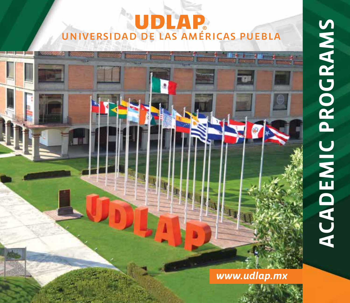# universidad de las américas puebla

annount annount monoul in



*www.udlap.mx*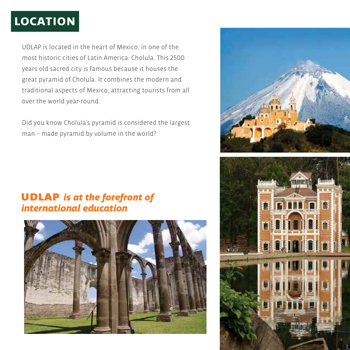# **location**

UDLAP is located in the heart of Mexico, in one of the most historic cities of Latin America: Cholula. This 2500 years old sacred city is famous because it houses the great pyramid of Cholula. It combines the modern and traditional aspects of Mexico, attracting tourists from all over the world year-round.

Did you know Cholula's pyramid is considered the largest man – made pyramid by volume in the world?



## **UDLAP** is at the forefront of *international education*



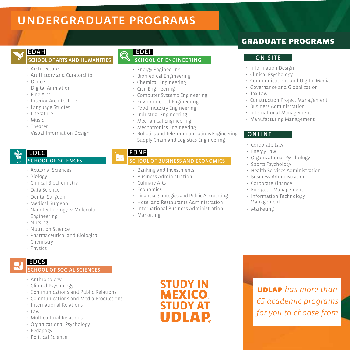# undergraduate programs

### EDAH

#### school of arts and humanities

- Architecture
- Art History and Curatorship
- Dance
- Digital Animation
- Fine Arts
- Interior Architecture
- Language Studies
- Literature
- Music
- Theater
- Visual Information Design

#### EDEC school of sciences

- Actuarial Sciences
- Biology
- Clinical Biochemistry
- Data Science
- Dental Surgeon
- Medical Surgeon
- Nanotechnology & Molecular Engineering
- Nursing
- Nutrition Science
- Pharmaceutical and Biological Chemistry
- Physics

## EDCS

#### school of social sciences

- Anthropology
- Clinical Psychology
- Communications and Public Relations
- Communications and Media Productions
- International Relations
- $-1$ aw
- Multicultural Relations
- Organizational Psychology
- Pedagogy
- Political Science



#### EDEI school of engineering

- Energy Engineering
- Biomedical Engineering
- Chemical Engineering
- Civil Engineering
- Computer Systems Engineering
- Environmental Engineering
- Food Industry Engineering
- Industrial Engineering
- Mechanical Engineering
- Mechatronics Engineering
- Robotics and Telecommunications Engineering
- Supply Chain and Logistics Engineering

#### EDNE

#### **CHOOL OF BUSINESS AND ECONOMICS**

- Banking and Investments
- Business Administration
- Culinary Arts
- Economics
- Financial Strategies and Public Accounting
- Hotel and Restaurants Administration
- International Business Administration
- Marketing

## graduate programs

#### ON SITE

- Information Design
- Clinical Psychology
- Communications and Digital Media
- Governance and Globalization
- Tax Law
- Construction Project Management
- Business Administration
- International Management
- Manufacturing Management

#### **ONLINE**

- Corporate Law
- Energy Law
- Organizational Pyschology
- Sports Psychology
- Health Services Administration
- Business Administration
- Corporate Finance
- Energetic Management
- Information Technology Management
- Marketing

## **STUDY IN MEXICO STUDY AT UDLAP**

udlap *has more than 65 academic programs for you to choose from*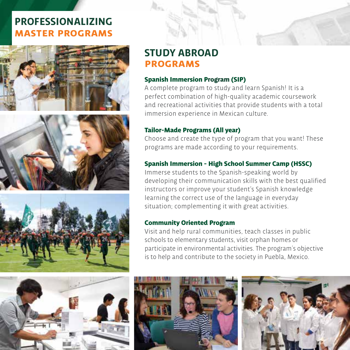## **PROFESSIONALIZING master programs**









## **STUDY ABROAD programs**

#### Spanish Immersion Program (SIP)

A complete program to study and learn Spanish! It is a perfect combination of high-quality academic coursework and recreational activities that provide students with a total immersion experience in Mexican culture.

#### Tailor-Made Programs (All year)

Choose and create the type of program that you want! These programs are made according to your requirements.

## Spanish Immersion - High School Summer Camp (HSSC)

Immerse students to the Spanish-speaking world by developing their communication skills with the best qualified instructors or improve your student's Spanish knowledge learning the correct use of the language in everyday situation; complementing it with great activities.

#### Community Oriented Program

Visit and help rural communities, teach classes in public schools to elementary students, visit orphan homes or participate in environmental activities. The program´s objective is to help and contribute to the society in Puebla, Mexico.





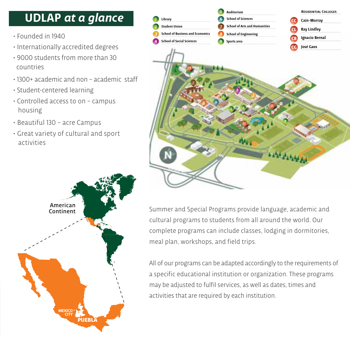# **UDLAP** *at a glance*

- Founded in 1940
- Internationally accredited degrees
- 9000 students from more than 30 countries
- 1300+ academic and non academic staff
- Student-centered learning
- Controlled access to on campus housing
- Beautiful 130 acre Campus
- Great variety of cultural and sport activities





Summer and Special Programs provide language, academic and cultural programs to students from all around the world. Our complete programs can include classes, lodging in dormitories, meal plan, workshops, and field trips.

All of our programs can be adapted accordingly to the requirements of a specific educational institution or organization. These programs may be adjusted to fulfil services, as well as dates, times and activities that are required by each institution.